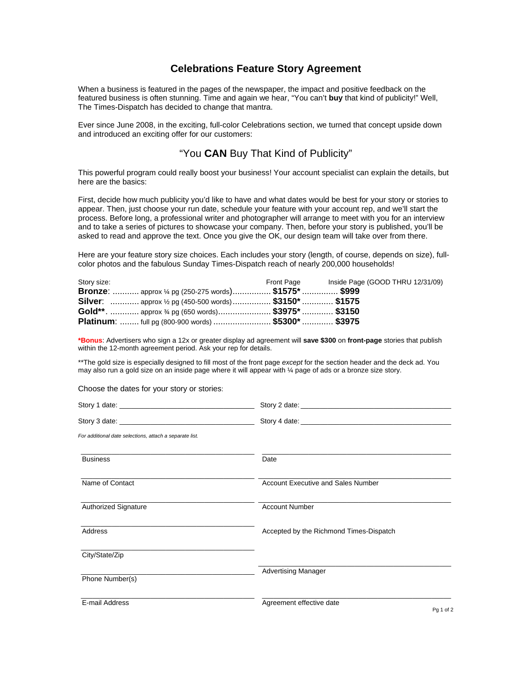# **Celebrations Feature Story Agreement**

When a business is featured in the pages of the newspaper, the impact and positive feedback on the featured business is often stunning. Time and again we hear, "You can't **buy** that kind of publicity!" Well, The Times-Dispatch has decided to change that mantra.

Ever since June 2008, in the exciting, full-color Celebrations section, we turned that concept upside down and introduced an exciting offer for our customers:

# "You **CAN** Buy That Kind of Publicity"

This powerful program could really boost your business! Your account specialist can explain the details, but here are the basics:

First, decide how much publicity you'd like to have and what dates would be best for your story or stories to appear. Then, just choose your run date, schedule your feature with your account rep, and we'll start the process. Before long, a professional writer and photographer will arrange to meet with you for an interview and to take a series of pictures to showcase your company. Then, before your story is published, you'll be asked to read and approve the text. Once you give the OK, our design team will take over from there.

Here are your feature story size choices. Each includes your story (length, of course, depends on size), fullcolor photos and the fabulous Sunday Times-Dispatch reach of nearly 200,000 households!

| Story size:                                                  | Front Page | Inside Page (GOOD THRU 12/31/09) |
|--------------------------------------------------------------|------------|----------------------------------|
| <b>Bronze:</b> approx 1/4 pg (250-275 words) \$1575*  \$999  |            |                                  |
| <b>Silver:</b> approx 1/2 pg (450-500 words) \$3150*  \$1575 |            |                                  |
| Gold**.  approx 3/4 pg (650 words) \$3975*  \$3150           |            |                                  |
| Platinum:  full pg (800-900 words)  \$5300*  \$3975          |            |                                  |

**\*Bonus**: Advertisers who sign a 12x or greater display ad agreement will **save \$300** on **front-page** stories that publish within the 12-month agreement period. Ask your rep for details.

\*\*The gold size is especially designed to fill most of the front page *except* for the section header and the deck ad. You may also run a gold size on an inside page where it will appear with ¼ page of ads or a bronze size story.

Choose the dates for your story or stories:

| For additional date selections, attach a separate list. |                                           |  |
|---------------------------------------------------------|-------------------------------------------|--|
| <b>Business</b>                                         | Date                                      |  |
| Name of Contact                                         | <b>Account Executive and Sales Number</b> |  |
| <b>Authorized Signature</b>                             | <b>Account Number</b>                     |  |
| Address                                                 | Accepted by the Richmond Times-Dispatch   |  |
| City/State/Zip                                          |                                           |  |
| Phone Number(s)                                         | <b>Advertising Manager</b>                |  |
|                                                         |                                           |  |
| E-mail Address                                          | Agreement effective date<br>Pq 1 of 2     |  |